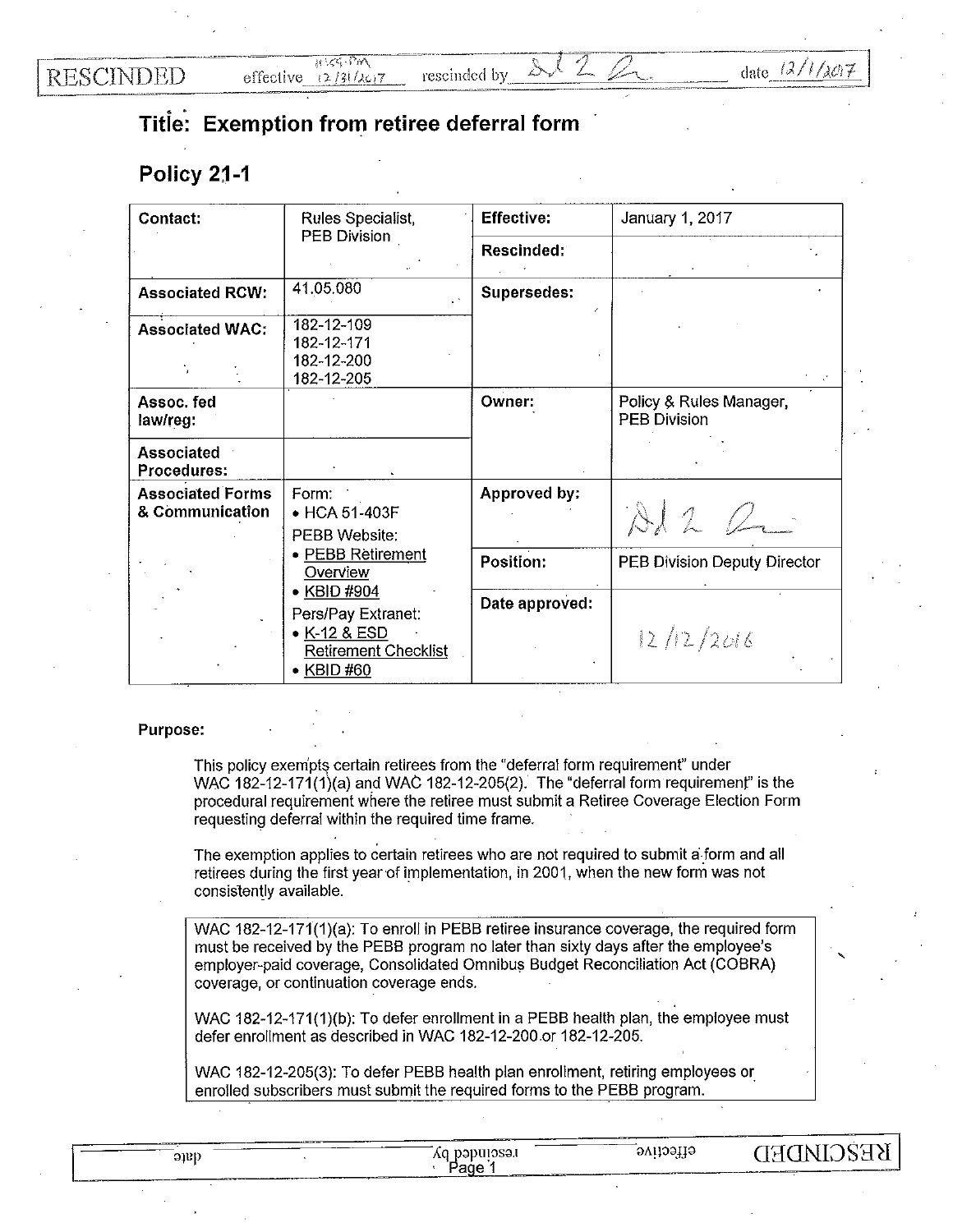**RESCINDED** 

## **Titie·: Exemption from retiree deferral form**

## **Policy 2j-1**

| Contact:                                   | Rules Specialist,                                                                                                               | <b>Effective:</b> | January 1, 2017                                |  |
|--------------------------------------------|---------------------------------------------------------------------------------------------------------------------------------|-------------------|------------------------------------------------|--|
|                                            | PEB Division                                                                                                                    | Rescinded:        |                                                |  |
| <b>Associated RCW:</b>                     | 41.05.080                                                                                                                       | Supersedes:       |                                                |  |
| <b>Associated WAC:</b>                     | 182-12-109<br>182-12-171<br>182-12-200<br>182-12-205                                                                            |                   |                                                |  |
| Assoc. fed<br>law/reg:                     |                                                                                                                                 | Owner:            | Policy & Rules Manager,<br><b>PEB Division</b> |  |
| <b>Associated</b><br>Procedures:           |                                                                                                                                 |                   |                                                |  |
| <b>Associated Forms</b><br>& Communication | Form:<br>• HCA 51-403F<br>PEBB Website:                                                                                         | Approved by:      | Al2Q                                           |  |
|                                            | · PEBB Retirement<br>Overview<br>• KBID #904<br>Pers/Pay Extranet:<br>• K-12 & ESD<br><b>Retirement Checklist</b><br>• KBID #60 | Position:         | PEB Division Deputy Director                   |  |
|                                            |                                                                                                                                 | Date approved:    | 12/12/2016                                     |  |

## **Purpose:**

This policy exempts certain retirees from the "deferral form requirement" under WAC 182-12-171(1)(a) and WAC 182-12-205(2). The "deferral form requiremenf' is the procedural requirement where the retiree must submit a Retiree Coverage Election Form requesting deferral within the required time frame.

The exemption applies to certain retirees who are not required to submit a. form and all retirees during the first year of implementation, in 2001, when the new form was not consistently available.

WAC 182-12-171(1)(a): To enroll in PEBB retiree insurance coverage, the required form must be received by the PEBB program no later than sixty days after the employee's employer-paid coverage, Consolidated Omnibus Budget Reconciliation Act (COBRA) coverage, or continuation coverage ends.

WAC 182-12-171(1)(b): To defer enrollment **in** a PEBB health plan, the employee must defer enrollment as described **in** WAC 182-12-200.or 182-12-205.

WAC 182-12-205(3): To defer PEBB health plan enrollment, retiring employees or enrolled subscribers must submit the required forms to the PEBB program.

| Q10 | naputosat<br>A0.<br>. P.                                     | ovilostik<br>.   | KEŽC.<br>$'$ H $\sim$<br>$\lambda$                                                                             |  |
|-----|--------------------------------------------------------------|------------------|----------------------------------------------------------------------------------------------------------------|--|
|     | <b>Continued in the American School School School School</b> | Page<br>________ | -ander 1937, mens mel 1937 gemanne 1937 gemannet 1744 mens av 2009 mens andet 1747 gemannet 1937, mens av 2009 |  |